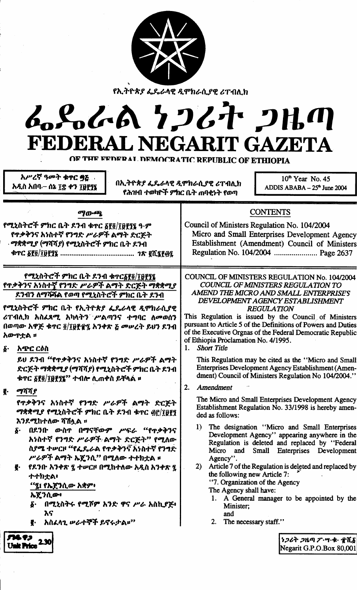

የኢትዮጵያ ፌዴራላዊ ዲሞክራሲያዊ ሪፐብሊክ

# んとんん クンムヤ クルの FEDERAL NEGARIT GAZETA

OF THE EEDERAL DEMOCRATIC REPUBLIC OF ETHIOPIA

አሥረኛ ዓመት ቁዋር ባይ አዲስ አበባ – ሰኔ ፲፰ ቀን ፲፱፻፺፯

በኢትዮጵያ ፌዴራሳዊ ዲሞክራሲያዊ ሪፐብሊክ የሕዝብ ተወካዮች ምክር ቤት ጠባቂነት የወጣ

 $10<sup>th</sup>$  Year No. 45 ADDIS ABABA  $-25<sup>th</sup>$  June 2004

#### **CONTENTS** ማውጫ የሚኒስትሮች ምክር ቤት ደንብ ቁጥር ፩፻፬/፲፱፻፺፯ ዓ·ም Council of Ministers Regulation No. 104/2004 የጥቃቅንና አነስተኛ የንግድ ሥራዎች ልማት ድርጅት Micro and Small Enterprises Development Agency · ማቋቋሚያ (ማሻሻ*ያ) የሚ*ኒስትሮች ምክር ቤት ደንብ Establishment (Amendment) Council of Ministers Regulation No. 104/2004 ........................ Page 2637 የሚኒስትሮች ምክር ቤት ደንብ ቁተርδየ፬/፲፱፻፶፯ COUNCIL OF MINISTERS REGULATION No. 104/2004 የጥቃቅንና አነስተኛ የንግድ ሥራዎች ልማት ድርጅት ማቋቋሚያ **COUNCIL OF MINISTERS REGULATION TO** AMEND THE MICRO AND SMALL ENTERPRISES ደንብን ለማሻሻል የወጣ የሚኒስትሮች ምክር ቤት ደንብ DEVELOPMENT AGENCY ESTABLISHMENT የሚኒስትሮች ምክር ቤት የኢትዮጵያ ፌዴራላዊ ዲሞክራሲያዊ **REGULATION** ሪፐብሊክ አስፈጻሚ አካላትን ሥልጣንና ተግባር ለመወሰን This Regulation is issued by the Council of Ministers pursuant to Article 5 of the Definitions of Powers and Duties በወጣው አዋጅ ቁጥር ፬/፲፱፻፹፯ አንቀጽ ፩ መሥረት ይህን ደንብ of the Executive Orgnas of the Federal Democratic Republic አውጥቷል ። of Ethiopia Proclamation No. 4/1995.  $\delta$ . **Short Title** 1. አጭር ርዕስ ይህ ደንብ "የጥቃቅንና አነስተኛ የንግድ ሥራዎች ልማት This Regulation may be cited as the "Micro and Small ድርጅት ማቋቋሚያ (ማሻሻያ) የሚኒስትሮች ምክር ቤት ዶንብ Enterprises Development Agency Establishment (Amendment) Council of Ministers Regulation No 104/2004." ቁጥር ፩፻፬/፲፱፻፺፯'' ተብሎ ሊጠቀስ ይቸላል ፡፡  $2.$ Amendment ማሻሻያ ę. The Micro and Small Enterprises Development Agency የጥቃቅንና አነስተኛ የንግድ ሥራዎች ልማት ድርጅት Establishment Regulation No. 33/1998 is hereby amen-ማቋቋሚያ የሚኒስትሮች ምክር ቤት ደንብ ቁጥር ፴፫/፲፱፻፺ ded as follows: እንደሚከተለው ሻሽሏል ። The designation "Micro and Small Enterprises  $\bf{1}$ በደንቡ ውስዋ በማናቸውም ሥፍራ "የጥቃቅንና δ. Development Agency" appearing anywhere in the አነስተኛ የንግድ ሥራዎች ልማት ድርጅት" የሚለው Regulation is deleted and replaced by "Federal ስያሜ ተሥርዞ "የፌዴራል የጥቃቅንና አነስተኛ የንግድ Micro and Small Enterprises Development ሥራዎች ልማት ኤጀንሲ" በሚለው ተተከቷል ፡፡ Agency". የደንቡ አንቀጽ ፯ ተሥርዞ በሚከተለው አዲስ አንቀጽ ፯ 2) Article 7 of the Regulation is deleted and replaced by g. the following new Article 7: ナナカナム・ "7. Organization of the Agency "፯፤ የኤጀንሲው አቋም፥ The Agency shall have: ኤጀንሲው፥ 1. A General manager to be appointed by the በሚኒስትሩ የሚሾም አንድ ዋና ሥራ አስኪያጅ፥ б. Minister: እና and አስፈላጊ ሥራተኞች ይኖሩታል፡፡<sup>››</sup>  $2.$ The necessary staff." ₹. . **9**. ነጋሪት ጋዜጣ ፖ・ሣ・ቁ・ πሺδ Unit Price 2.30 Negarit G.P.O.Box 80,001